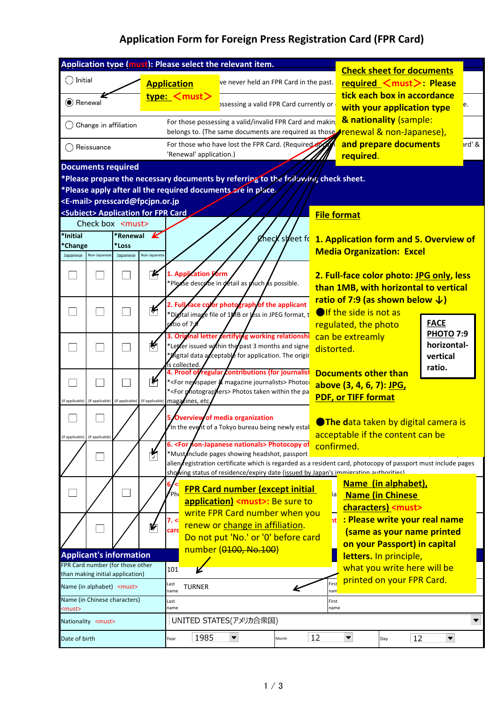## **Application Form for Foreign Press Registration Card (FPR Card)**

| Application type (must): Please select the relevant item.            |                                                                                    |                                                 |                                          |                                                                                                                                                        |                                                                                                                                                                                    |       | <b>Check sheet for documents</b>                                                                                                                                                                               |                                                                                                       |             |  |  |
|----------------------------------------------------------------------|------------------------------------------------------------------------------------|-------------------------------------------------|------------------------------------------|--------------------------------------------------------------------------------------------------------------------------------------------------------|------------------------------------------------------------------------------------------------------------------------------------------------------------------------------------|-------|----------------------------------------------------------------------------------------------------------------------------------------------------------------------------------------------------------------|-------------------------------------------------------------------------------------------------------|-------------|--|--|
| ◯ Initial                                                            |                                                                                    |                                                 |                                          | <b>Application</b>                                                                                                                                     | ve never held an FPR Card in the past.                                                                                                                                             |       |                                                                                                                                                                                                                | required <must>: Please</must>                                                                        |             |  |  |
| C Renewal                                                            |                                                                                    |                                                 |                                          | type: <must></must>                                                                                                                                    | ossessing a valid FPR Card currently or                                                                                                                                            |       |                                                                                                                                                                                                                | tick each box in accordance<br>with your application type                                             | e.          |  |  |
|                                                                      | Change in affiliation                                                              |                                                 |                                          | For those possessing a valid/invalid FPR Card and makin<br>belongs to. (The same documents are required as those <b>Frenewal &amp; non-Japanese)</b> , |                                                                                                                                                                                    |       | & nationality (sample:                                                                                                                                                                                         |                                                                                                       |             |  |  |
|                                                                      | Reissuance                                                                         |                                                 |                                          | For those who have lost the FPR Card. (Required do<br>'Renewal' application.)                                                                          |                                                                                                                                                                                    |       | and prepare documents<br>required.                                                                                                                                                                             | ird' &                                                                                                |             |  |  |
| <b>Documents required</b>                                            |                                                                                    |                                                 |                                          |                                                                                                                                                        |                                                                                                                                                                                    |       |                                                                                                                                                                                                                |                                                                                                       |             |  |  |
|                                                                      | *Please prepare the necessary documents by referring to the following check sheet. |                                                 |                                          |                                                                                                                                                        |                                                                                                                                                                                    |       |                                                                                                                                                                                                                |                                                                                                       |             |  |  |
|                                                                      |                                                                                    |                                                 |                                          |                                                                                                                                                        | *Please apply after all the required documents are in place.                                                                                                                       |       |                                                                                                                                                                                                                |                                                                                                       |             |  |  |
|                                                                      |                                                                                    |                                                 | <e-mail> presscard@fpcjpn.or.jp</e-mail> |                                                                                                                                                        |                                                                                                                                                                                    |       |                                                                                                                                                                                                                |                                                                                                       |             |  |  |
|                                                                      |                                                                                    | Check box <must></must>                         |                                          | <subiect> Application for FPR Card</subiect>                                                                                                           |                                                                                                                                                                                    |       | <b>File format</b>                                                                                                                                                                                             |                                                                                                       |             |  |  |
| *Initial                                                             |                                                                                    | *Renewal                                        | K                                        |                                                                                                                                                        |                                                                                                                                                                                    |       |                                                                                                                                                                                                                |                                                                                                       |             |  |  |
| *Change                                                              |                                                                                    | *Loss                                           |                                          | gheck steet for                                                                                                                                        |                                                                                                                                                                                    |       | 1. Application form and 5. Overview of                                                                                                                                                                         |                                                                                                       |             |  |  |
| Japanese                                                             | Non-Japanese                                                                       | Japanese                                        | Non-Japanese                             |                                                                                                                                                        |                                                                                                                                                                                    |       |                                                                                                                                                                                                                | <b>Media Organization: Excel</b>                                                                      |             |  |  |
|                                                                      |                                                                                    |                                                 | K                                        | 1. Application Form                                                                                                                                    | *Please describe in detail as much as possible.                                                                                                                                    |       | 2. Full-face color photo: JPG only, less<br>than 1MB, with horizontal to vertical                                                                                                                              |                                                                                                       |             |  |  |
|                                                                      |                                                                                    |                                                 | ⊭                                        | $\sqrt{4}$ tio of 7 $\sqrt{4}$                                                                                                                         | 2. Full face color photograph of the applicant<br>*Digital image file of 1MB or less in JPEG format, t                                                                             |       |                                                                                                                                                                                                                | ratio of 7:9 (as shown below $\downarrow$ )<br><b>O</b> If the side is not as<br>regulated, the photo | <b>FACE</b> |  |  |
|                                                                      |                                                                                    |                                                 | 断                                        | Orig<br>is collected.                                                                                                                                  | nal letter certifying working relationshi<br>*Leter issued within the past 3 months and signe<br><b>Digital data acceptable for application. The origin</b> ***                    |       | <b>PHOTO 7:9</b><br>can be extreamly<br>horizontal-<br>distorted.<br>vertical                                                                                                                                  |                                                                                                       |             |  |  |
| (If applicable)                                                      |                                                                                    | (If applicable) (If applicable) (If applicable) | ⊭                                        | magazines, etc                                                                                                                                         | Proof of regular contributions (for journalist<br>* <for &="" journalists="" magazine="" newspaper=""> Photoco<br/>*<for photograpylers=""> Photos taken within the pa</for></for> |       |                                                                                                                                                                                                                | <b>Documents other than</b><br>above (3, 4, 6, 7): JPG,<br><b>PDF, or TIFF format</b>                 | ratio.      |  |  |
| (If applicable)                                                      | (If applicable)                                                                    |                                                 |                                          |                                                                                                                                                        | <b>Overview of media organization</b><br>In the event of a Tokyo bureau being newly estal                                                                                          |       | <b>OThe data taken by digital camera is</b><br>acceptable if the content can be<br>confirmed.<br>alien fegistration certificate which is regarded as a resident card, photocopy of passport must include pages |                                                                                                       |             |  |  |
|                                                                      |                                                                                    |                                                 | у                                        |                                                                                                                                                        | 6. <for nationals="" non-japanese=""> Photocopy of<br/>*Mustnclude pages showing headshot, passport</for>                                                                          |       |                                                                                                                                                                                                                |                                                                                                       |             |  |  |
|                                                                      |                                                                                    |                                                 |                                          |                                                                                                                                                        |                                                                                                                                                                                    |       |                                                                                                                                                                                                                | showing status of residence/expiry date (issued by Japan's immigration authorities)                   |             |  |  |
|                                                                      |                                                                                    |                                                 |                                          | ≰ph.                                                                                                                                                   | <b>FPR Card number (except initial</b><br>application) <must>: Be sure to<br/>write FPR Card number when you</must>                                                                |       | ia                                                                                                                                                                                                             | Name (in alphabet),<br><b>Name (in Chinese</b><br>characters) <must></must>                           |             |  |  |
|                                                                      |                                                                                    |                                                 | ⋫                                        | 7. <<br>card                                                                                                                                           | renew or change in affiliation.<br>Do not put 'No.' or '0' before card                                                                                                             |       | ht.                                                                                                                                                                                                            | : Please write your real name<br>(same as your name printed<br>on your Passport) in capital           |             |  |  |
| <b>Applicant's information</b>                                       |                                                                                    |                                                 |                                          | number (0100, No.100)                                                                                                                                  |                                                                                                                                                                                    |       | letters. In principle,                                                                                                                                                                                         |                                                                                                       |             |  |  |
| FPR Card number (for those other<br>than making initial application) |                                                                                    |                                                 |                                          | 101                                                                                                                                                    |                                                                                                                                                                                    |       |                                                                                                                                                                                                                | what you write here will be                                                                           |             |  |  |
| Name (in alphabet) <must></must>                                     |                                                                                    |                                                 |                                          | printed on your FPR Card.<br>First<br>Last<br><b>TURNER</b><br>name<br>nam                                                                             |                                                                                                                                                                                    |       |                                                                                                                                                                                                                |                                                                                                       |             |  |  |
| Name (in Chinese characters)<br><must></must>                        |                                                                                    |                                                 |                                          | Last<br>First<br>name<br>name                                                                                                                          |                                                                                                                                                                                    |       |                                                                                                                                                                                                                |                                                                                                       |             |  |  |
| Nationality <must></must>                                            |                                                                                    |                                                 |                                          |                                                                                                                                                        | UNITED STATES(アメリカ合衆国)                                                                                                                                                             |       |                                                                                                                                                                                                                |                                                                                                       | ▼           |  |  |
| Date of birth                                                        |                                                                                    |                                                 |                                          | 1985<br>Year                                                                                                                                           | $\blacktriangledown$                                                                                                                                                               | Month | 12                                                                                                                                                                                                             | $\blacktriangledown$<br>12<br>Day                                                                     | ▼           |  |  |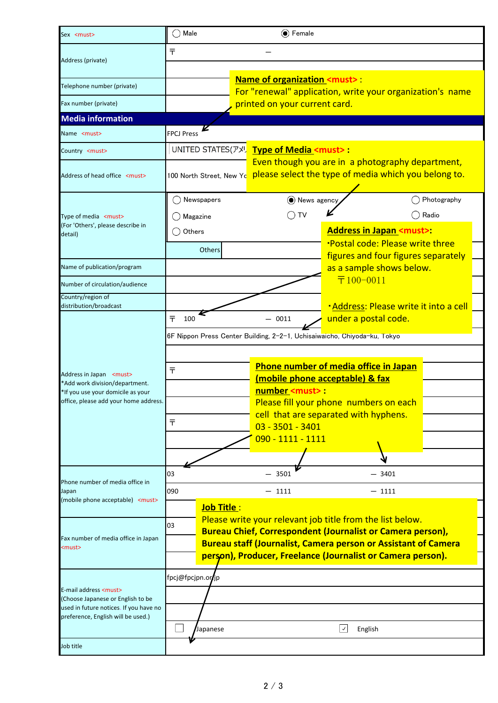| Sex <must></must>                                                           | Male<br>$\odot$ Female                                                                     |                                                                                                          |                                                |                                     |  |  |  |  |  |
|-----------------------------------------------------------------------------|--------------------------------------------------------------------------------------------|----------------------------------------------------------------------------------------------------------|------------------------------------------------|-------------------------------------|--|--|--|--|--|
|                                                                             | Ŧ                                                                                          |                                                                                                          |                                                |                                     |  |  |  |  |  |
| Address (private)                                                           |                                                                                            |                                                                                                          |                                                |                                     |  |  |  |  |  |
| Telephone number (private)                                                  | <b>Name of organization <must>:</must></b>                                                 |                                                                                                          |                                                |                                     |  |  |  |  |  |
| Fax number (private)                                                        | For "renewal" application, write your organization's name<br>printed on your current card. |                                                                                                          |                                                |                                     |  |  |  |  |  |
| <b>Media information</b>                                                    |                                                                                            |                                                                                                          |                                                |                                     |  |  |  |  |  |
|                                                                             | <b>FPCJ Press</b>                                                                          |                                                                                                          |                                                |                                     |  |  |  |  |  |
| Name <must></must>                                                          |                                                                                            |                                                                                                          |                                                |                                     |  |  |  |  |  |
| Country <must></must>                                                       |                                                                                            |                                                                                                          | UNITED STATES(アメリ Type of Media <must>:</must> |                                     |  |  |  |  |  |
| Address of head office <must></must>                                        | 100 North Street, New Yo                                                                   | Even though you are in a photography department,<br>please select the type of media which you belong to. |                                                |                                     |  |  |  |  |  |
|                                                                             | Newspapers                                                                                 | O News agency                                                                                            |                                                | Photography                         |  |  |  |  |  |
| Type of media <must></must>                                                 | Magazine                                                                                   | ) TV                                                                                                     |                                                | Radio                               |  |  |  |  |  |
| (For 'Others', please describe in<br>detail)                                | $\bigcirc$ Others                                                                          | <b>Address in Japan <must>:</must></b>                                                                   |                                                |                                     |  |  |  |  |  |
|                                                                             | Others                                                                                     |                                                                                                          | <b>Postal code: Please write three</b>         |                                     |  |  |  |  |  |
|                                                                             |                                                                                            |                                                                                                          |                                                | figures and four figures separately |  |  |  |  |  |
| Name of publication/program                                                 |                                                                                            |                                                                                                          | $\overline{\mathsf{T}}100-0011$                | as a sample shows below.            |  |  |  |  |  |
| Number of circulation/audience                                              |                                                                                            |                                                                                                          |                                                |                                     |  |  |  |  |  |
| Country/region of<br>distribution/broadcast                                 |                                                                                            |                                                                                                          | <b>-Address: Please write it into a cell</b>   |                                     |  |  |  |  |  |
|                                                                             | ᆍ<br>100                                                                                   | $-0011$                                                                                                  |                                                | under a postal code.                |  |  |  |  |  |
|                                                                             | 6F Nippon Press Center Building, 2-2-1, Uchisaiwaicho, Chiyoda-ku, Tokyo                   |                                                                                                          |                                                |                                     |  |  |  |  |  |
|                                                                             |                                                                                            |                                                                                                          |                                                |                                     |  |  |  |  |  |
|                                                                             | Phone number of media office in Japan                                                      |                                                                                                          |                                                |                                     |  |  |  |  |  |
| Address in Japan <must></must>                                              | ᆍ                                                                                          | <u>(mobile phone acceptable) &amp; fax</u>                                                               |                                                |                                     |  |  |  |  |  |
| *Add work division/department.<br>*If you use your domicile as your         |                                                                                            | number <must>:</must>                                                                                    |                                                |                                     |  |  |  |  |  |
| office, please add your home address.                                       |                                                                                            | Please fill your phone numbers on each                                                                   |                                                |                                     |  |  |  |  |  |
|                                                                             | ᆍ                                                                                          | cell that are separated with hyphens.                                                                    |                                                |                                     |  |  |  |  |  |
|                                                                             |                                                                                            | $03 - 3501 - 3401$                                                                                       |                                                |                                     |  |  |  |  |  |
|                                                                             |                                                                                            | 090 - 1111 - 1111                                                                                        |                                                |                                     |  |  |  |  |  |
|                                                                             |                                                                                            |                                                                                                          |                                                |                                     |  |  |  |  |  |
|                                                                             | 03                                                                                         | 3501                                                                                                     |                                                | $-3401$                             |  |  |  |  |  |
| Phone number of media office in<br>Japan                                    | 090                                                                                        | $-$ 1111                                                                                                 |                                                | $-$ 1111                            |  |  |  |  |  |
| (mobile phone acceptable) <must></must>                                     | Job Title:                                                                                 |                                                                                                          |                                                |                                     |  |  |  |  |  |
|                                                                             |                                                                                            | Please write your relevant job title from the list below.                                                |                                                |                                     |  |  |  |  |  |
|                                                                             | 03<br><b>Bureau Chief, Correspondent (Journalist or Camera person),</b>                    |                                                                                                          |                                                |                                     |  |  |  |  |  |
| Fax number of media office in Japan<br><must></must>                        | <b>Bureau staff (Journalist, Camera person or Assistant of Camera</b>                      |                                                                                                          |                                                |                                     |  |  |  |  |  |
|                                                                             | person), Producer, Freelance (Journalist or Camera person).                                |                                                                                                          |                                                |                                     |  |  |  |  |  |
|                                                                             | fpcj@fpcjpn.or/jp                                                                          |                                                                                                          |                                                |                                     |  |  |  |  |  |
| E-mail address <must></must>                                                |                                                                                            |                                                                                                          |                                                |                                     |  |  |  |  |  |
| (Choose Japanese or English to be<br>used in future notices. If you have no |                                                                                            |                                                                                                          |                                                |                                     |  |  |  |  |  |
| preference, English will be used.)                                          |                                                                                            |                                                                                                          |                                                |                                     |  |  |  |  |  |
|                                                                             | Japanese                                                                                   |                                                                                                          | $ \!\downarrow\! $<br>English                  |                                     |  |  |  |  |  |
| Job title                                                                   |                                                                                            |                                                                                                          |                                                |                                     |  |  |  |  |  |